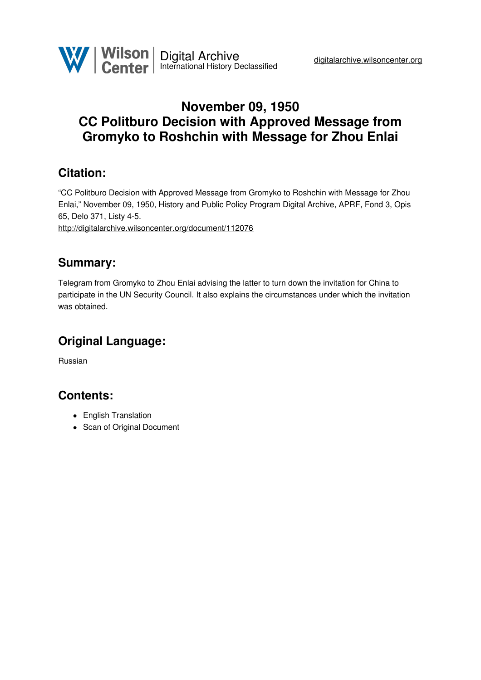

# **November 09, 1950 CC Politburo Decision with Approved Message from Gromyko to Roshchin with Message for Zhou Enlai**

## **Citation:**

"CC Politburo Decision with Approved Message from Gromyko to Roshchin with Message for Zhou Enlai," November 09, 1950, History and Public Policy Program Digital Archive, APRF, Fond 3, Opis 65, Delo 371, Listy 4-5.

<http://digitalarchive.wilsoncenter.org/document/112076>

### **Summary:**

Telegram from Gromyko to Zhou Enlai advising the latter to turn down the invitation for China to participate in the UN Security Council. It also explains the circumstances under which the invitation was obtained.

# **Original Language:**

Russian

### **Contents:**

- English Translation
- Scan of Original Document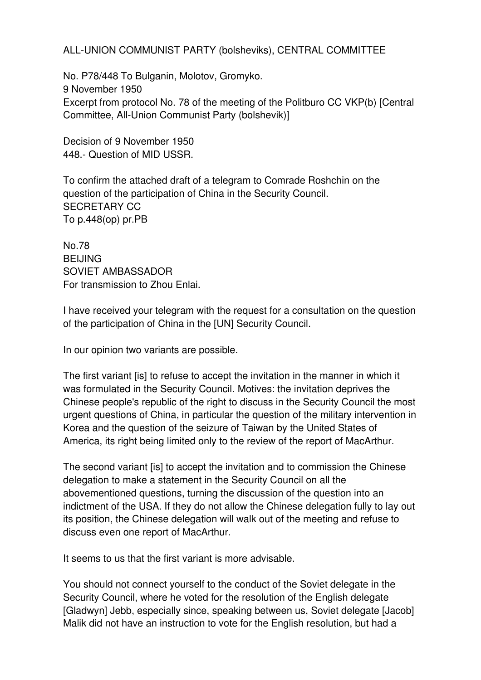ALL-UNION COMMUNIST PARTY (bolsheviks), CENTRAL COMMITTEE

No. P78/448 To Bulganin, Molotov, Gromyko. 9 November 1950 Excerpt from protocol No. 78 of the meeting of the Politburo CC VKP(b) [Central Committee, All-Union Communist Party (bolshevik)]

Decision of 9 November 1950 448.- Question of MID USSR.

To confirm the attached draft of a telegram to Comrade Roshchin on the question of the participation of China in the Security Council. SECRETARY CC To p.448(op) pr.PB

No.78 **BEIJING** SOVIET AMBASSADOR For transmission to Zhou Enlai.

I have received your telegram with the request for a consultation on the question of the participation of China in the [UN] Security Council.

In our opinion two variants are possible.

The first variant [is] to refuse to accept the invitation in the manner in which it was formulated in the Security Council. Motives: the invitation deprives the Chinese people's republic of the right to discuss in the Security Council the most urgent questions of China, in particular the question of the military intervention in Korea and the question of the seizure of Taiwan by the United States of America, its right being limited only to the review of the report of MacArthur.

The second variant [is] to accept the invitation and to commission the Chinese delegation to make a statement in the Security Council on all the abovementioned questions, turning the discussion of the question into an indictment of the USA. If they do not allow the Chinese delegation fully to lay out its position, the Chinese delegation will walk out of the meeting and refuse to discuss even one report of MacArthur.

It seems to us that the first variant is more advisable.

You should not connect yourself to the conduct of the Soviet delegate in the Security Council, where he voted for the resolution of the English delegate [Gladwyn] Jebb, especially since, speaking between us, Soviet delegate [Jacob] Malik did not have an instruction to vote for the English resolution, but had a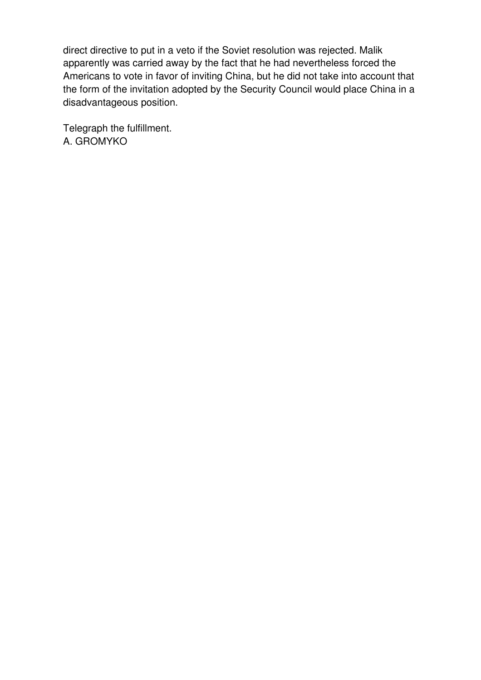direct directive to put in a veto if the Soviet resolution was rejected. Malik apparently was carried away by the fact that he had nevertheless forced the Americans to vote in favor of inviting China, but he did not take into account that the form of the invitation adopted by the Security Council would place China in a disadvantageous position.

Telegraph the fulfillment. A. GROMYKO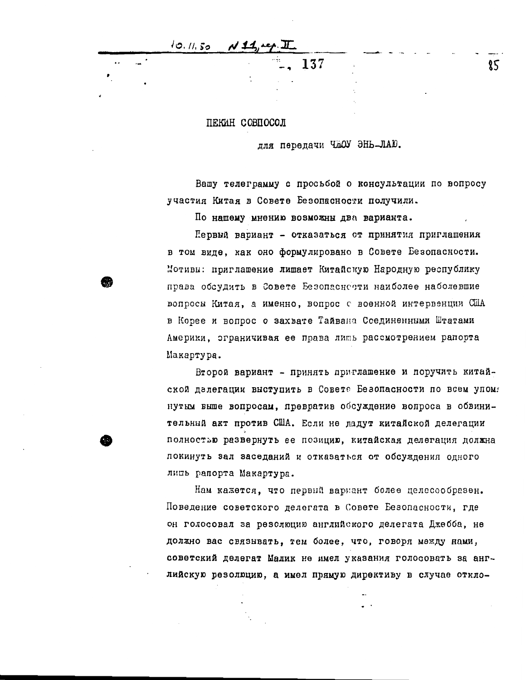10. 11. 50

 $\sim$   $\cdot$ 

#### ПЕКИН СОВПОСОЛ

#### лля передачи ЧЖОУ ЭНЬ-ЛАЮ.

137

Вашу телеграмму с просьбой о консультации по вопросу участия Китая в Совете Безопасности получили.

По нашему мнению возможны два варианта.

Первый вариант - отказаться от принятия приглашения в том виде, как оно формулировано в Совете Безопасности. Мотиви: приглашение лишает Китайскую Народную республику права обсудить в Совете Безопасности наиболее наболевшие вопросы Китая, а именно, вопрос с военной интервенции США в Корее и вопрос о захвате Тайвана Соединенными Штатами Америки, эграничивая ее права лить рассмотрением рапорта Макартура.

Второй вариант - принять приглашение и поручить китайской далегации выступить в Совете Безопасности по всем упомя нутым выше вопросам, превратив обсуждение вопроса в обвинительный акт против США. Если не ладут китайской делегации полностью развернуть ее позицию, китайская делегация должна покинуть зал заседаний и отказаться от обсуждения одного лиць рапорта Макартура.

Нам кажется, что первый варнант более целесообразен. Поведение советского делегата в Совете Безопасности, где он голосовал за резолюцию английского делегата Джебба, не должно вас связывать, тем более, что, говоря между нами, советский делегат Малик не имел указания голосовать за английскую резолюцию, а имел прямую директиву в случае откло-

85